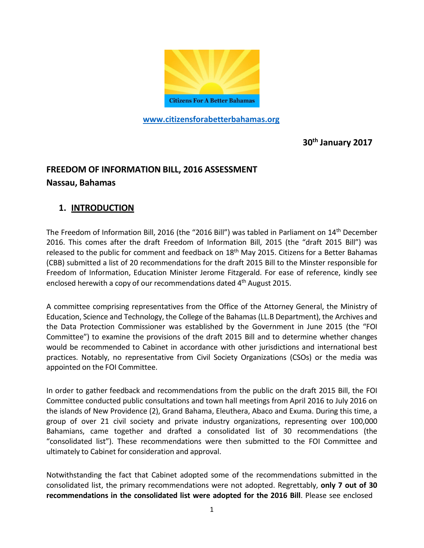

**[www.citizensforabetterbahamas.org](http://www.citizensforabetterbahamas.org/)**

**30th January 2017**

# **FREEDOM OF INFORMATION BILL, 2016 ASSESSMENT**

#### **Nassau, Bahamas**

### **1. INTRODUCTION**

The Freedom of Information Bill, 2016 (the "2016 Bill") was tabled in Parliament on 14th December 2016. This comes after the draft Freedom of Information Bill, 2015 (the "draft 2015 Bill") was released to the public for comment and feedback on  $18<sup>th</sup>$  May 2015. Citizens for a Better Bahamas (CBB) submitted a list of 20 recommendations for the draft 2015 Bill to the Minster responsible for Freedom of Information, Education Minister Jerome Fitzgerald. For ease of reference, kindly see enclosed herewith a copy of our recommendations dated 4<sup>th</sup> August 2015.

A committee comprising representatives from the Office of the Attorney General, the Ministry of Education, Science and Technology, the College of the Bahamas (LL.B Department), the Archives and the Data Protection Commissioner was established by the Government in June 2015 (the "FOI Committee") to examine the provisions of the draft 2015 Bill and to determine whether changes would be recommended to Cabinet in accordance with other jurisdictions and international best practices. Notably, no representative from Civil Society Organizations (CSOs) or the media was appointed on the FOI Committee.

In order to gather feedback and recommendations from the public on the draft 2015 Bill, the FOI Committee conducted public consultations and town hall meetings from April 2016 to July 2016 on the islands of New Providence (2), Grand Bahama, Eleuthera, Abaco and Exuma. During this time, a group of over 21 civil society and private industry organizations, representing over 100,000 Bahamians, came together and drafted a consolidated list of 30 recommendations (the "consolidated list"). These recommendations were then submitted to the FOI Committee and ultimately to Cabinet for consideration and approval.

Notwithstanding the fact that Cabinet adopted some of the recommendations submitted in the consolidated list, the primary recommendations were not adopted. Regrettably, **only 7 out of 30 recommendations in the consolidated list were adopted for the 2016 Bill**. Please see enclosed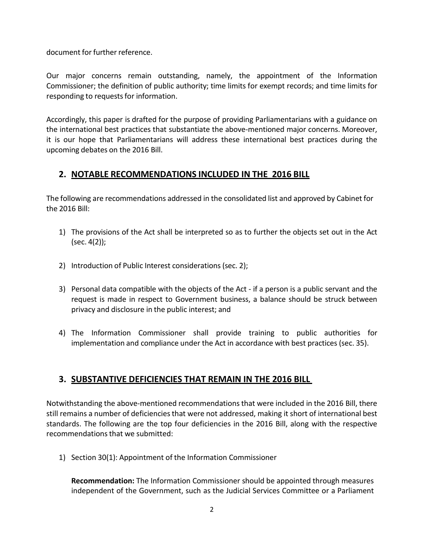document for further reference.

Our major concerns remain outstanding, namely, the appointment of the Information Commissioner; the definition of public authority; time limits for exempt records; and time limits for responding to requests for information.

Accordingly, this paper is drafted for the purpose of providing Parliamentarians with a guidance on the international best practices that substantiate the above-mentioned major concerns. Moreover, it is our hope that Parliamentarians will address these international best practices during the upcoming debates on the 2016 Bill.

#### **2. NOTABLE RECOMMENDATIONS INCLUDED IN THE 2016 BILL**

The following are recommendations addressed in the consolidated list and approved by Cabinet for the 2016 Bill:

- 1) The provisions of the Act shall be interpreted so as to further the objects set out in the Act (sec. 4(2));
- 2) Introduction of Public Interest considerations(sec. 2);
- 3) Personal data compatible with the objects of the Act if a person is a public servant and the request is made in respect to Government business, a balance should be struck between privacy and disclosure in the public interest; and
- 4) The Information Commissioner shall provide training to public authorities for implementation and compliance under the Act in accordance with best practices (sec. 35).

### **3. SUBSTANTIVE DEFICIENCIES THAT REMAIN IN THE 2016 BILL**

Notwithstanding the above-mentioned recommendations that were included in the 2016 Bill, there still remains a number of deficienciesthat were not addressed, making it short of international best standards. The following are the top four deficiencies in the 2016 Bill, along with the respective recommendations that we submitted:

1) Section 30(1): Appointment of the Information Commissioner

**Recommendation:** The Information Commissioner should be appointed through measures independent of the Government, such as the Judicial Services Committee or a Parliament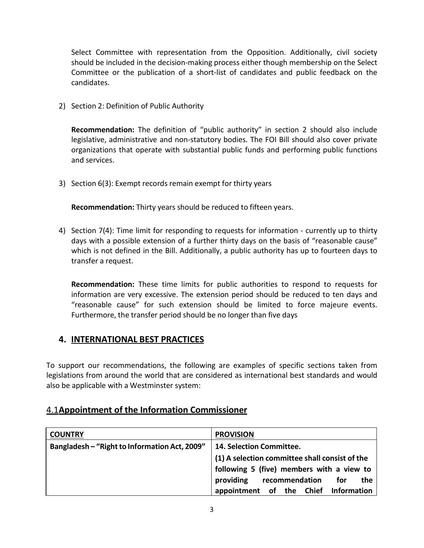Select Committee with representation from the Opposition. Additionally, civil society should be included in the decision-making process either though membership on the Select Committee or the publication of a short-list of candidates and public feedback on the candidates.

2) Section 2: Definition of Public Authority

**Recommendation:** The definition of "public authority" in section 2 should also include legislative, administrative and non-statutory bodies. The FOI Bill should also cover private organizations that operate with substantial public funds and performing public functions and services.

3) Section 6(3): Exempt records remain exempt for thirty years

**Recommendation:** Thirty years should be reduced to fifteen years.

4) Section 7(4): Time limit for responding to requests for information - currently up to thirty days with a possible extension of a further thirty days on the basis of "reasonable cause" which is not defined in the Bill. Additionally, a public authority has up to fourteen days to transfer a request.

**Recommendation:** These time limits for public authorities to respond to requests for information are very excessive. The extension period should be reduced to ten days and "reasonable cause" for such extension should be limited to force majeure events. Furthermore, the transfer period should be no longer than five days

#### **4. INTERNATIONAL BEST PRACTICES**

To support our recommendations, the following are examples of specific sections taken from legislations from around the world that are considered as international best standards and would also be applicable with a Westminster system:

#### 4.1**Appointment of the Information Commissioner**

| <b>COUNTRY</b>                                | <b>PROVISION</b>                               |
|-----------------------------------------------|------------------------------------------------|
| Bangladesh - "Right to Information Act, 2009" | 14. Selection Committee.                       |
|                                               | (1) A selection committee shall consist of the |
|                                               | following 5 (five) members with a view to      |
|                                               | recommendation<br>providing<br>for<br>the      |
|                                               | appointment of the Chief Information           |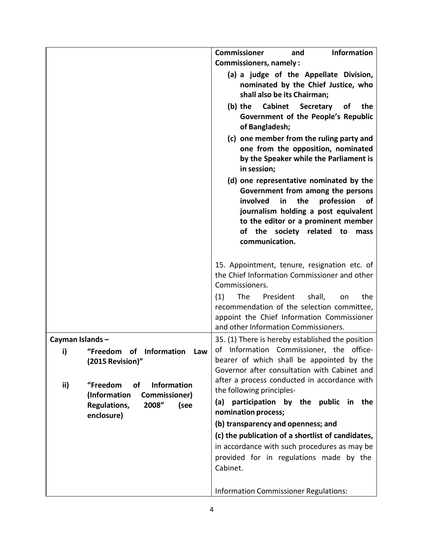|                       |                                                                              | <b>Information</b><br><b>Commissioner</b><br>and<br><b>Commissioners, namely:</b>                                                                                                                                                                               |
|-----------------------|------------------------------------------------------------------------------|-----------------------------------------------------------------------------------------------------------------------------------------------------------------------------------------------------------------------------------------------------------------|
|                       |                                                                              | (a) a judge of the Appellate Division,<br>nominated by the Chief Justice, who<br>shall also be its Chairman;<br>(b) the<br><b>Cabinet Secretary</b><br>the<br>0f<br>Government of the People's Republic                                                         |
|                       |                                                                              | of Bangladesh;<br>(c) one member from the ruling party and<br>one from the opposition, nominated<br>by the Speaker while the Parliament is<br>in session;                                                                                                       |
|                       |                                                                              | (d) one representative nominated by the<br>Government from among the persons<br>involved<br>the<br>profession<br>in<br>0f<br>journalism holding a post equivalent<br>to the editor or a prominent member<br>of the society related to<br>mass<br>communication. |
|                       |                                                                              | 15. Appointment, tenure, resignation etc. of<br>the Chief Information Commissioner and other<br>Commissioners.<br>The<br>President<br>(1)<br>shall,<br>the<br>on<br>recommendation of the selection committee,<br>appoint the Chief Information Commissioner    |
|                       |                                                                              | and other Information Commissioners.                                                                                                                                                                                                                            |
| Cayman Islands-<br>i) | "Freedom<br><b>Information</b><br>of<br>Law<br>(2015 Revision)"              | 35. (1) There is hereby established the position<br>of Information Commissioner, the office-<br>bearer of which shall be appointed by the<br>Governor after consultation with Cabinet and<br>after a process conducted in accordance with                       |
| ii)                   | "Freedom<br><b>of</b><br><b>Information</b><br>(Information<br>Commissioner) | the following principles-                                                                                                                                                                                                                                       |
|                       | 2008"<br>Regulations,<br>(see                                                | (a) participation by the public<br>in the<br>nomination process;                                                                                                                                                                                                |
|                       | enclosure)                                                                   | (b) transparency and openness; and                                                                                                                                                                                                                              |
|                       |                                                                              | (c) the publication of a shortlist of candidates,                                                                                                                                                                                                               |
|                       |                                                                              | in accordance with such procedures as may be<br>provided for in regulations made by the<br>Cabinet.                                                                                                                                                             |
|                       |                                                                              | <b>Information Commissioner Regulations:</b>                                                                                                                                                                                                                    |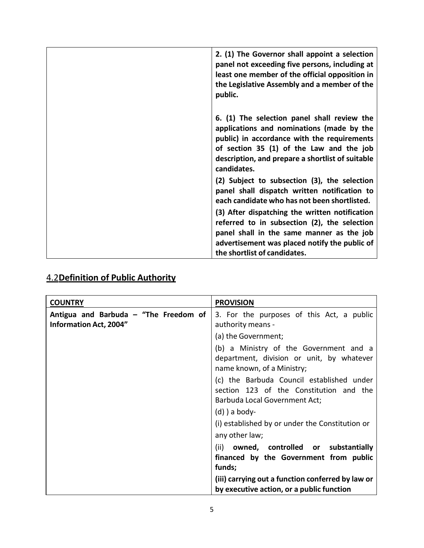| 2. (1) The Governor shall appoint a selection<br>panel not exceeding five persons, including at<br>least one member of the official opposition in<br>the Legislative Assembly and a member of the<br>public.                                           |
|--------------------------------------------------------------------------------------------------------------------------------------------------------------------------------------------------------------------------------------------------------|
| 6. (1) The selection panel shall review the<br>applications and nominations (made by the<br>public) in accordance with the requirements<br>of section 35 (1) of the Law and the job<br>description, and prepare a shortlist of suitable<br>candidates. |
| (2) Subject to subsection (3), the selection<br>panel shall dispatch written notification to<br>each candidate who has not been shortlisted.                                                                                                           |
| (3) After dispatching the written notification<br>referred to in subsection (2), the selection<br>panel shall in the same manner as the job<br>advertisement was placed notify the public of<br>the shortlist of candidates.                           |

## 4.2**Definition of Public Authority**

| <b>COUNTRY</b>                                                         | <b>PROVISION</b>                                                                                                      |
|------------------------------------------------------------------------|-----------------------------------------------------------------------------------------------------------------------|
| Antigua and Barbuda - "The Freedom of<br><b>Information Act, 2004"</b> | 3. For the purposes of this Act, a public<br>authority means -                                                        |
|                                                                        | (a) the Government;                                                                                                   |
|                                                                        | (b) a Ministry of the Government and a<br>department, division or unit, by whatever<br>name known, of a Ministry;     |
|                                                                        | (c) the Barbuda Council established under<br>section 123 of the Constitution and the<br>Barbuda Local Government Act; |
|                                                                        | $(d)$ ) a body-                                                                                                       |
|                                                                        | (i) established by or under the Constitution or                                                                       |
|                                                                        | any other law;                                                                                                        |
|                                                                        | owned, controlled or substantially<br>(ii)<br>financed by the Government from public<br>funds;                        |
|                                                                        | (iii) carrying out a function conferred by law or<br>by executive action, or a public function                        |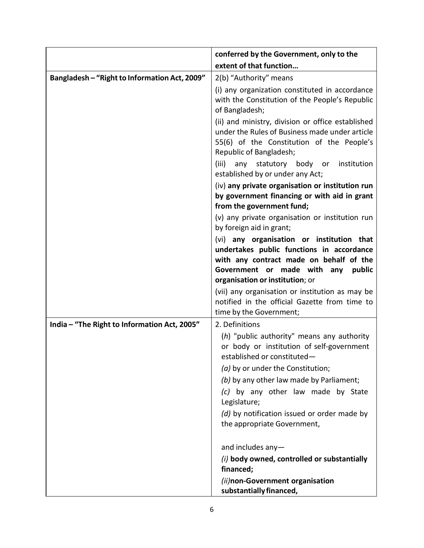|                                               | conferred by the Government, only to the                                                                                                                                    |
|-----------------------------------------------|-----------------------------------------------------------------------------------------------------------------------------------------------------------------------------|
|                                               | extent of that function                                                                                                                                                     |
| Bangladesh - "Right to Information Act, 2009" | 2(b) "Authority" means                                                                                                                                                      |
|                                               | (i) any organization constituted in accordance<br>with the Constitution of the People's Republic<br>of Bangladesh;                                                          |
|                                               | (ii) and ministry, division or office established<br>under the Rules of Business made under article<br>55(6) of the Constitution of the People's<br>Republic of Bangladesh; |
|                                               | (iii)<br>statutory body or<br>institution<br>any<br>established by or under any Act;                                                                                        |
|                                               | (iv) any private organisation or institution run<br>by government financing or with aid in grant<br>from the government fund;                                               |
|                                               | (v) any private organisation or institution run<br>by foreign aid in grant;                                                                                                 |
|                                               | (vi) any organisation or institution that                                                                                                                                   |
|                                               | undertakes public functions in accordance                                                                                                                                   |
|                                               | with any contract made on behalf of the<br>Government or made with any<br>public                                                                                            |
|                                               | organisation or institution; or                                                                                                                                             |
|                                               | (vii) any organisation or institution as may be                                                                                                                             |
|                                               | notified in the official Gazette from time to                                                                                                                               |
|                                               | time by the Government;                                                                                                                                                     |
| India - "The Right to Information Act, 2005"  | 2. Definitions                                                                                                                                                              |
|                                               | (h) "public authority" means any authority<br>or body or institution of self-government<br>established or constituted-                                                      |
|                                               | (a) by or under the Constitution;                                                                                                                                           |
|                                               | (b) by any other law made by Parliament;                                                                                                                                    |
|                                               | (c) by any other law made by State<br>Legislature;                                                                                                                          |
|                                               | (d) by notification issued or order made by<br>the appropriate Government,                                                                                                  |
|                                               |                                                                                                                                                                             |
|                                               | and includes any-<br>(i) body owned, controlled or substantially                                                                                                            |
|                                               | financed;                                                                                                                                                                   |
|                                               | (ii)non-Government organisation<br>substantially financed,                                                                                                                  |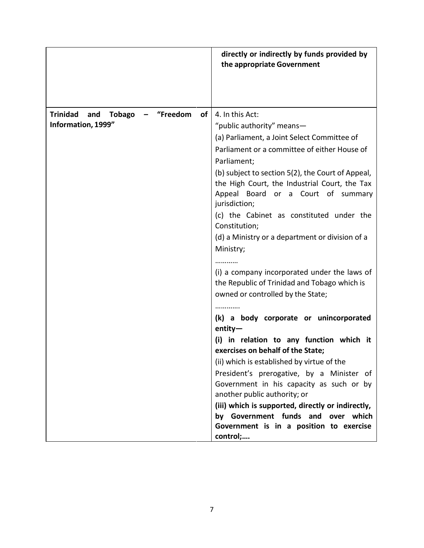|                                                                            | directly or indirectly by funds provided by<br>the appropriate Government                                                                                                                                                                                                                                                                                                                                                                                                                                                                                                                                                                                                                                                                                                                                                                                                                                                                                                                                                                                          |
|----------------------------------------------------------------------------|--------------------------------------------------------------------------------------------------------------------------------------------------------------------------------------------------------------------------------------------------------------------------------------------------------------------------------------------------------------------------------------------------------------------------------------------------------------------------------------------------------------------------------------------------------------------------------------------------------------------------------------------------------------------------------------------------------------------------------------------------------------------------------------------------------------------------------------------------------------------------------------------------------------------------------------------------------------------------------------------------------------------------------------------------------------------|
| "Freedom<br>Trinidad<br>and<br>of l<br><b>Tobago</b><br>Information, 1999" | 4. In this Act:<br>"public authority" means-<br>(a) Parliament, a Joint Select Committee of<br>Parliament or a committee of either House of<br>Parliament;<br>(b) subject to section 5(2), the Court of Appeal,<br>the High Court, the Industrial Court, the Tax<br>Appeal Board or a Court of summary<br>jurisdiction;<br>(c) the Cabinet as constituted under the<br>Constitution;<br>(d) a Ministry or a department or division of a<br>Ministry;<br>.<br>(i) a company incorporated under the laws of<br>the Republic of Trinidad and Tobago which is<br>owned or controlled by the State;<br>(k) a body corporate or unincorporated<br>$entity-$<br>(i) in relation to any function which it<br>exercises on behalf of the State;<br>(ii) which is established by virtue of the<br>President's prerogative, by a Minister of<br>Government in his capacity as such or by<br>another public authority; or<br>(iii) which is supported, directly or indirectly,<br>by Government funds and<br>over which<br>Government is in a position to exercise<br>control; |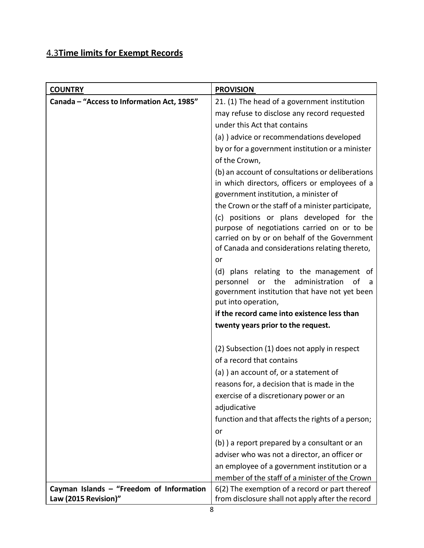## 4.3**Time limits for Exempt Records**

| <b>COUNTRY</b>                             | <b>PROVISION</b>                                                                               |
|--------------------------------------------|------------------------------------------------------------------------------------------------|
| Canada - "Access to Information Act, 1985" | 21. (1) The head of a government institution                                                   |
|                                            | may refuse to disclose any record requested                                                    |
|                                            | under this Act that contains                                                                   |
|                                            | (a) ) advice or recommendations developed                                                      |
|                                            | by or for a government institution or a minister                                               |
|                                            | of the Crown,                                                                                  |
|                                            | (b) an account of consultations or deliberations                                               |
|                                            | in which directors, officers or employees of a                                                 |
|                                            | government institution, a minister of                                                          |
|                                            | the Crown or the staff of a minister participate,                                              |
|                                            | (c) positions or plans developed for the                                                       |
|                                            | purpose of negotiations carried on or to be                                                    |
|                                            | carried on by or on behalf of the Government<br>of Canada and considerations relating thereto, |
|                                            | or                                                                                             |
|                                            | (d) plans relating to the management of                                                        |
|                                            | the administration<br>personnel<br>of<br>or<br>a                                               |
|                                            | government institution that have not yet been                                                  |
|                                            | put into operation,                                                                            |
|                                            | if the record came into existence less than                                                    |
|                                            | twenty years prior to the request.                                                             |
|                                            | (2) Subsection (1) does not apply in respect                                                   |
|                                            | of a record that contains                                                                      |
|                                            | (a) ) an account of, or a statement of                                                         |
|                                            | reasons for, a decision that is made in the                                                    |
|                                            | exercise of a discretionary power or an                                                        |
|                                            | adjudicative                                                                                   |
|                                            | function and that affects the rights of a person;                                              |
|                                            | or                                                                                             |
|                                            | (b) a report prepared by a consultant or an                                                    |
|                                            | adviser who was not a director, an officer or                                                  |
|                                            | an employee of a government institution or a                                                   |
|                                            | member of the staff of a minister of the Crown                                                 |
| Cayman Islands - "Freedom of Information   | 6(2) The exemption of a record or part thereof                                                 |
| Law (2015 Revision)"                       | from disclosure shall not apply after the record                                               |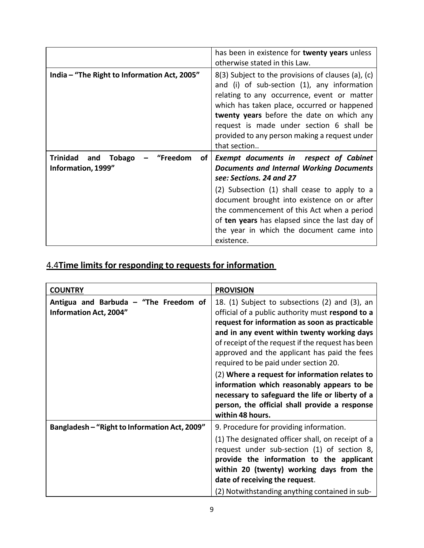|                                                                | has been in existence for twenty years unless<br>otherwise stated in this Law.                                                                                                                                                                                                                                                                                                        |
|----------------------------------------------------------------|---------------------------------------------------------------------------------------------------------------------------------------------------------------------------------------------------------------------------------------------------------------------------------------------------------------------------------------------------------------------------------------|
| India - "The Right to Information Act, 2005"                   | 8(3) Subject to the provisions of clauses (a), (c)<br>and (i) of sub-section (1), any information<br>relating to any occurrence, event or matter<br>which has taken place, occurred or happened<br>twenty years before the date on which any<br>request is made under section 6 shall be<br>provided to any person making a request under<br>that section                             |
| "Freedom<br>Trinidad and<br>Tobago<br>of<br>Information, 1999" | <b>Exempt documents in respect of Cabinet</b><br><b>Documents and Internal Working Documents</b><br>see: Sections. 24 and 27<br>(2) Subsection (1) shall cease to apply to a<br>document brought into existence on or after<br>the commencement of this Act when a period<br>of ten years has elapsed since the last day of<br>the year in which the document came into<br>existence. |

## 4.4**Time limits for responding to requests for information**

| <b>COUNTRY</b>                                                         | <b>PROVISION</b>                                                                                                                                                                                                                                                                                                                                  |
|------------------------------------------------------------------------|---------------------------------------------------------------------------------------------------------------------------------------------------------------------------------------------------------------------------------------------------------------------------------------------------------------------------------------------------|
| Antigua and Barbuda - "The Freedom of<br><b>Information Act, 2004"</b> | 18. (1) Subject to subsections (2) and (3), an<br>official of a public authority must respond to a<br>request for information as soon as practicable<br>and in any event within twenty working days<br>of receipt of the request if the request has been<br>approved and the applicant has paid the fees<br>required to be paid under section 20. |
|                                                                        | (2) Where a request for information relates to<br>information which reasonably appears to be<br>necessary to safeguard the life or liberty of a<br>person, the official shall provide a response<br>within 48 hours.                                                                                                                              |
| Bangladesh - "Right to Information Act, 2009"                          | 9. Procedure for providing information.<br>(1) The designated officer shall, on receipt of a<br>request under sub-section (1) of section 8,<br>provide the information to the applicant<br>within 20 (twenty) working days from the<br>date of receiving the request.<br>(2) Notwithstanding anything contained in sub-                           |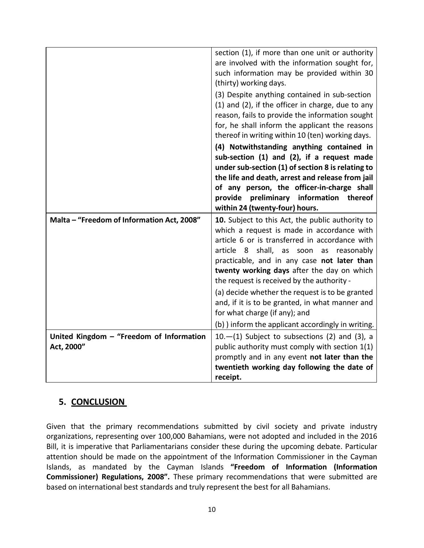|                                                        | section (1), if more than one unit or authority<br>are involved with the information sought for,<br>such information may be provided within 30<br>(thirty) working days.<br>(3) Despite anything contained in sub-section<br>(1) and (2), if the officer in charge, due to any<br>reason, fails to provide the information sought<br>for, he shall inform the applicant the reasons<br>thereof in writing within 10 (ten) working days. |
|--------------------------------------------------------|-----------------------------------------------------------------------------------------------------------------------------------------------------------------------------------------------------------------------------------------------------------------------------------------------------------------------------------------------------------------------------------------------------------------------------------------|
|                                                        | (4) Notwithstanding anything contained in<br>sub-section (1) and (2), if a request made<br>under sub-section (1) of section 8 is relating to<br>the life and death, arrest and release from jail<br>of any person, the officer-in-charge shall<br>provide preliminary information thereof<br>within 24 (twenty-four) hours.                                                                                                             |
| Malta - "Freedom of Information Act, 2008"             | 10. Subject to this Act, the public authority to<br>which a request is made in accordance with<br>article 6 or is transferred in accordance with<br>shall, as soon as<br>article 8<br>reasonably<br>practicable, and in any case not later than<br>twenty working days after the day on which<br>the request is received by the authority -<br>(a) decide whether the request is to be granted                                          |
|                                                        | and, if it is to be granted, in what manner and<br>for what charge (if any); and                                                                                                                                                                                                                                                                                                                                                        |
|                                                        | (b) ) inform the applicant accordingly in writing.                                                                                                                                                                                                                                                                                                                                                                                      |
| United Kingdom - "Freedom of Information<br>Act, 2000" | $10.$ -(1) Subject to subsections (2) and (3), a<br>public authority must comply with section 1(1)                                                                                                                                                                                                                                                                                                                                      |
|                                                        | promptly and in any event not later than the                                                                                                                                                                                                                                                                                                                                                                                            |
|                                                        | twentieth working day following the date of                                                                                                                                                                                                                                                                                                                                                                                             |
|                                                        |                                                                                                                                                                                                                                                                                                                                                                                                                                         |

### **5. CONCLUSION**

Given that the primary recommendations submitted by civil society and private industry organizations, representing over 100,000 Bahamians, were not adopted and included in the 2016 Bill, it is imperative that Parliamentarians consider these during the upcoming debate. Particular attention should be made on the appointment of the Information Commissioner in the Cayman Islands, as mandated by the Cayman Islands **"Freedom of Information (Information Commissioner) Regulations, 2008".** These primary recommendations that were submitted are based on international best standards and truly represent the best for all Bahamians.